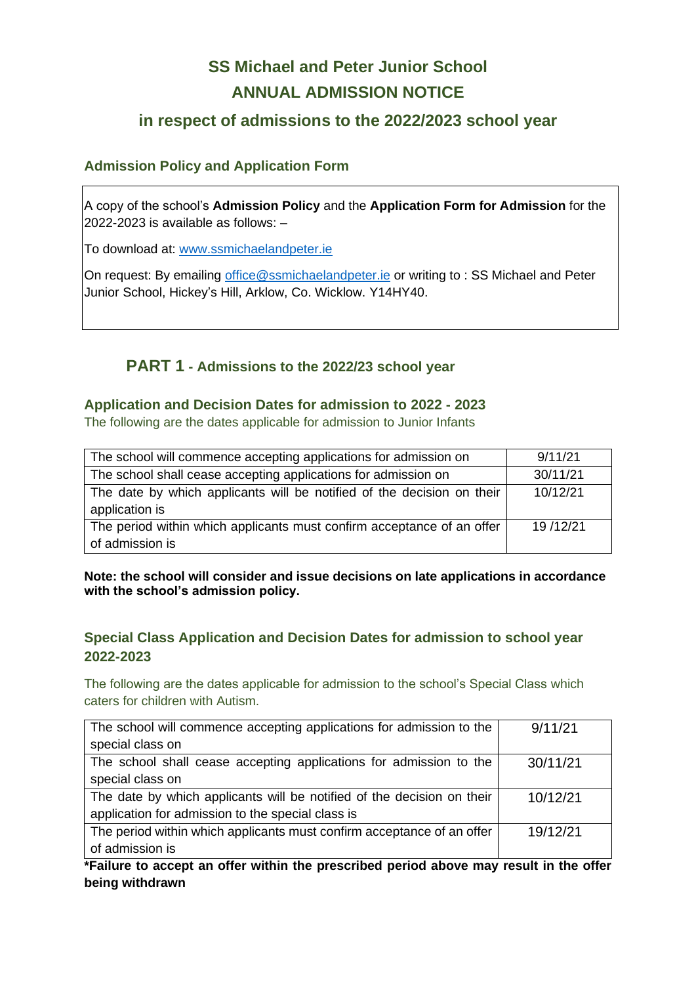# **SS Michael and Peter Junior School ANNUAL ADMISSION NOTICE**

# **in respect of admissions to the 2022/2023 school year**

## **Admission Policy and Application Form**

A copy of the school's **Admission Policy** and the **Application Form for Admission** for the 2022-2023 is available as follows: –

To download at: www.ssmichaelandpeter.ie

On request: By emailing [office@ssmichaelandpeter.ie](mailto:office@ssmichaelandpeter.ie) or writing to : SS Michael and Peter Junior School, Hickey's Hill, Arklow, Co. Wicklow. Y14HY40.

# **PART 1 - Admissions to the 2022/23 school year**

#### **Application and Decision Dates for admission to 2022 - 2023**

The following are the dates applicable for admission to Junior Infants

| The school will commence accepting applications for admission on                         | 9/11/21  |
|------------------------------------------------------------------------------------------|----------|
| The school shall cease accepting applications for admission on                           | 30/11/21 |
| The date by which applicants will be notified of the decision on their<br>application is | 10/12/21 |
| The period within which applicants must confirm acceptance of an offer                   | 19/12/21 |
| of admission is                                                                          |          |

#### **Note: the school will consider and issue decisions on late applications in accordance with the school's admission policy.**

## **Special Class Application and Decision Dates for admission to school year 2022-2023**

The following are the dates applicable for admission to the school's Special Class which caters for children with Autism.

| The school will commence accepting applications for admission to the   | 9/11/21  |
|------------------------------------------------------------------------|----------|
| special class on                                                       |          |
| The school shall cease accepting applications for admission to the     | 30/11/21 |
| special class on                                                       |          |
| The date by which applicants will be notified of the decision on their | 10/12/21 |
| application for admission to the special class is                      |          |
| The period within which applicants must confirm acceptance of an offer | 19/12/21 |
| of admission is                                                        |          |

**\*Failure to accept an offer within the prescribed period above may result in the offer being withdrawn**